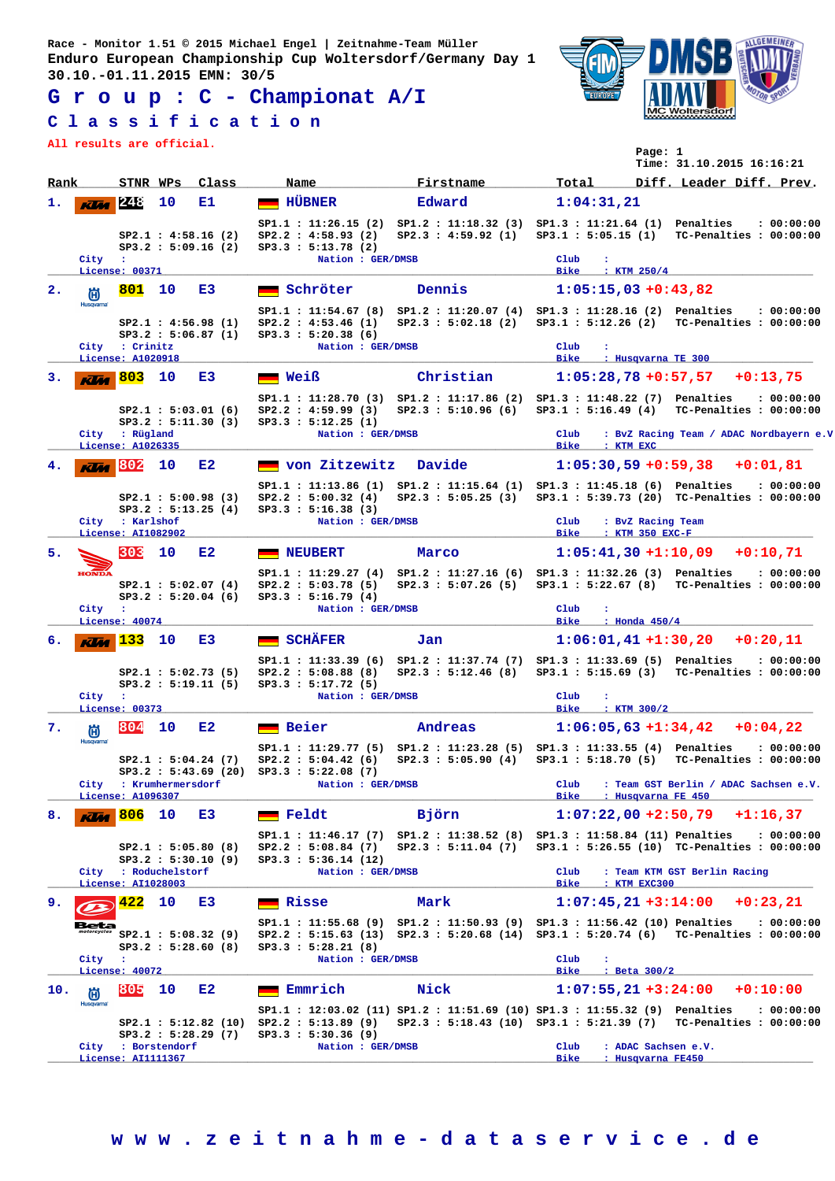**G r o u p : C - Championat A/I**

## **C l a s s i f i c a t i o n**

**All results are official.**



**Page: 1**

|                |                  |                                       |                      |                                             |                                                                 |                       | Time: 31.10.2015 16:16:21                                                                                                                                                 |
|----------------|------------------|---------------------------------------|----------------------|---------------------------------------------|-----------------------------------------------------------------|-----------------------|---------------------------------------------------------------------------------------------------------------------------------------------------------------------------|
| Rank           |                  | STNR WPs                              |                      | Class                                       | Name                                                            | Firstname             | Total<br>Diff. Leader Diff. Prev.                                                                                                                                         |
| ı.             | <b>Klas</b>      | 248                                   | 10                   | Е1.                                         | <b>HÜBNER</b>                                                   | Edward                | 1:04:31,21                                                                                                                                                                |
|                |                  |                                       |                      | SP2.1 : 4:58.16 (2)<br>SP3.2 : 5:09.16 (2)  | SP2.2 : 4:58.93 (2)<br>SP3.3 : 5:13.78 (2)                      |                       | SP1.1: 11:26.15 (2) SP1.2: 11:18.32 (3) SP1.3: 11:21.64 (1) Penalties<br>: 00:00:00<br>SP2.3 : 4:59.92 (1) SP3.1 : 5:05.15 (1) TC-Penalties : 00:00:00                    |
|                | City :           | License: 00371                        |                      |                                             | Nation : GER/DMSB                                               |                       | Club<br>÷<br>Bike<br>$:$ KTM $250/4$                                                                                                                                      |
| $\mathbf{2}$ . | 尚                | 801                                   | 10                   | E3                                          | Schröter                                                        | Dennis                | $1:05:15,03+0:43,82$                                                                                                                                                      |
|                | <b>Husqvarna</b> |                                       |                      | SP2.1 : 4:56.98(1)<br>SP3.2 : 5:06.87(1)    | SP2.2 : 4:53.46 (1)<br>SP3.3 : 5:20.38(6)                       | SP2.3 : 5:02.18 (2)   | SP1.1: 11:54.67 (8) SP1.2: 11:20.07 (4) SP1.3: 11:28.16 (2) Penalties<br>: 00:00:00<br>SP3.1: 5:12.26 (2) TC-Penalties: 00:00:00                                          |
|                |                  | City : Crinitz<br>License: A1020918   |                      |                                             | Nation : GER/DMSB                                               |                       | Club<br>÷<br><b>Bike</b><br>: Husqvarna TE 300                                                                                                                            |
|                | rīm              | 803                                   | 10                   | E3                                          | <b>Neiß</b>                                                     | Christian             | $1:05:28,78+0:57,57+0:13,75$                                                                                                                                              |
|                |                  |                                       |                      | SP2.1 : 5:03.01(6)<br>SP3.2 : 5:11.30(3)    | SP2.2 : 4:59.99(3)<br>SP3.3 : 5:12.25 (1)                       |                       | SP1.1: 11:28.70 (3) SP1.2: 11:17.86 (2) SP1.3: 11:48.22 (7) Penalties<br>: 00:00:00<br>SP2.3: 5:10.96 (6) SP3.1: 5:16.49 (4) TC-Penalties: 00:00:00                       |
|                |                  | City : Rügland<br>License: A1026335   |                      |                                             | Nation : GER/DMSB                                               |                       | $_{\rm Club}$<br>: BvZ Racing Team / ADAC Nordbayern e.V<br>Bike : KTM EXC                                                                                                |
|                | <b>Klia</b>      | 802                                   | 10                   | E2                                          | von Zitzewitz                                                   | Davide                | $1:05:30,59 +0:59,38 +0:01,81$                                                                                                                                            |
|                |                  |                                       |                      | SP2.1 : 5:00.98(3)<br>SP3.2 : 5:13.25(4)    | SP2.2 : 5:00.32(4)<br>SP3.3 : 5:16.38(3)                        |                       | SP1.1 : 11:13.86 (1) SP1.2 : 11:15.64 (1) SP1.3 : 11:45.18 (6) Penalties<br>: 00:00:00<br>SP2.3 : 5:05.25 (3) SP3.1 : 5:39.73 (20) TC-Penalties : 00:00:00                |
|                |                  | City : Karlshof<br>License: AI1082902 |                      |                                             | Nation : GER/DMSB                                               |                       | $_{\rm Club}$<br>: BvZ Racing Team<br>Bike<br>: KTM 350 EXC-F                                                                                                             |
| 5.             |                  | 303                                   | 10                   | E2                                          | <b>NEUBERT</b>                                                  | Marco                 | $1:05:41,30+1:10,09$ +0:10,71                                                                                                                                             |
|                | <b>HONDA</b>     |                                       |                      | SP2.1 : 5:02.07(4)<br>SP3.2 : 5:20.04(6)    | $SP2.2$ : 5:03.78 (5)<br>SP3.3 : 5:16.79(4)                     | SP2.3 : 5:07.26(5)    | SP1.1: 11:29.27 (4) SP1.2: 11:27.16 (6) SP1.3: 11:32.26 (3) Penalties<br>: 00:00:00<br>SP3.1: 5:22.67 (8) TC-Penalties: 00:00:00                                          |
|                | City :           | License: 40074                        |                      |                                             | Nation : GER/DMSB                                               |                       | Club<br>÷<br>Bike<br>$:$ Honda $450/4$                                                                                                                                    |
| 6.             | Klar             | 133                                   | 10                   | E3                                          | <b>SCHÄFER</b>                                                  | Jan                   | $1:06:01,41+1:30,20$ +0:20,11                                                                                                                                             |
|                | City             | $\mathbf{r}$                          |                      | SP2.1 : 5:02.73(5)<br>SP3.2 : 5:19.11(5)    | SP2.2 : 5:08.88 (8)<br>SP3.3 : 5:17.72 (5)<br>Nation : GER/DMSB |                       | SP1.1: 11:33.39 (6) SP1.2: 11:37.74 (7) SP1.3: 11:33.69 (5) Penalties<br>: 00:00:00<br>SP2.3: 5:12.46 (8) SP3.1: 5:15.69 (3) TC-Penalties: 00:00:00<br>Club<br>÷          |
|                |                  | License: 00373                        |                      |                                             |                                                                 |                       | Bike<br>$:$ KTM $300/2$                                                                                                                                                   |
| 7.             | 尚<br>Husqvarna   | 804                                   | 10                   | E2                                          | Beier                                                           | Andreas               | $1:06:05,63+1:34,42$<br>$+0:04,22$                                                                                                                                        |
|                |                  |                                       |                      | SP2.1 : 5:04.24 (7)<br>SP3.2 : 5:43.69 (20) | SP2.2 : 5:04.42(6)<br>SP3.3 : 5:22.08(7)                        | SP2.3 : 5:05.90(4)    | SP1.1: 11:29.77 (5) SP1.2: 11:23.28 (5) SP1.3: 11:33.55 (4) Penalties<br>: 00:00:00<br>TC-Penalties : 00:00:00<br>SP3.1 : 5:18.70 (5)                                     |
|                | City             | License: A1096307                     | : Krumhermersdorf    |                                             | Nation : GER/DMSB                                               |                       | : Team GST Berlin / ADAC Sachsen e.V.<br>Club<br>Bike<br>: Husqvarna FE 450                                                                                               |
| 8.             |                  | 806                                   | 10                   | E3                                          | $\blacksquare$ Feldt                                            | Björn                 | $1:07:22,00+2:50,79$<br>$+1:16,37$                                                                                                                                        |
|                |                  |                                       | City : Roduchelstorf | SP2.1 : 5:05.80(8)<br>SP3.2 : 5:30.10 (9)   | SP2.2 : 5:08.84 (7)<br>SP3.3 : 5:36.14 (12)                     | $SP2.3$ : 5:11.04 (7) | SP1.1: 11:46.17 (7) SP1.2: 11:38.52 (8) SP1.3: 11:58.84 (11) Penalties<br>: 00:00:00<br>SP3.1: 5:26.55 (10) TC-Penalties: 00:00:00                                        |
|                |                  | License: AI1028003                    |                      |                                             | Nation : GER/DMSB                                               |                       | $_{\rm Club}$<br>: Team KTM GST Berlin Racing<br><b>Bike</b><br>: KTM EXC300                                                                                              |
| 9.             |                  | 422                                   | 10                   | E3                                          | <b>Exisse</b>                                                   | Mark                  | $1:07:45,21+3:14:00$<br>$+0:23.21$                                                                                                                                        |
|                | Beta             |                                       |                      | SP2.1 : 5:08.32(9)<br>SP3.2 : 5:28.60 (8)   | SP3.3 : 5:28.21 (8)                                             |                       | SP1.1: 11:55.68 (9) SP1.2: 11:50.93 (9) SP1.3: 11:56.42 (10) Penalties<br>: 00:00:00<br>SP2.2: 5:15.63 (13) SP2.3: 5:20.68 (14) SP3.1: 5:20.74 (6) TC-Penalties: 00:00:00 |
|                | City             | - 11<br>License: 40072                |                      |                                             | Nation : GER/DMSB                                               |                       | $_{\rm Club}$<br>÷<br>Bike<br>: Beta 300/2                                                                                                                                |
| 10.            | 尚                | 805                                   | 10                   | E2                                          | Emmrich                                                         | Nick                  | $1:07:55,21+3:24:00$<br>$+0:10:00$                                                                                                                                        |
|                | Husqvarna        |                                       |                      | SP2.1 : 5:12.82 (10)<br>SP3.2 : 5:28.29 (7) | SP2.2 : 5:13.89(9)<br>SP3.3 : 5:30.36 (9)                       |                       | SP1.1: 12:03.02 (11) SP1.2: 11:51.69 (10) SP1.3: 11:55.32 (9) Penalties<br>: 00:00:00<br>SP2.3: 5:18.43 (10) SP3.1: 5:21.39 (7) TC-Penalties: 00:00:00                    |
|                |                  | License: AI1111367                    | City : Borstendorf   |                                             | Nation : GER/DMSB                                               |                       | Club<br>: ADAC Sachsen e.V.<br>Bike<br>: Husqvarna FE450                                                                                                                  |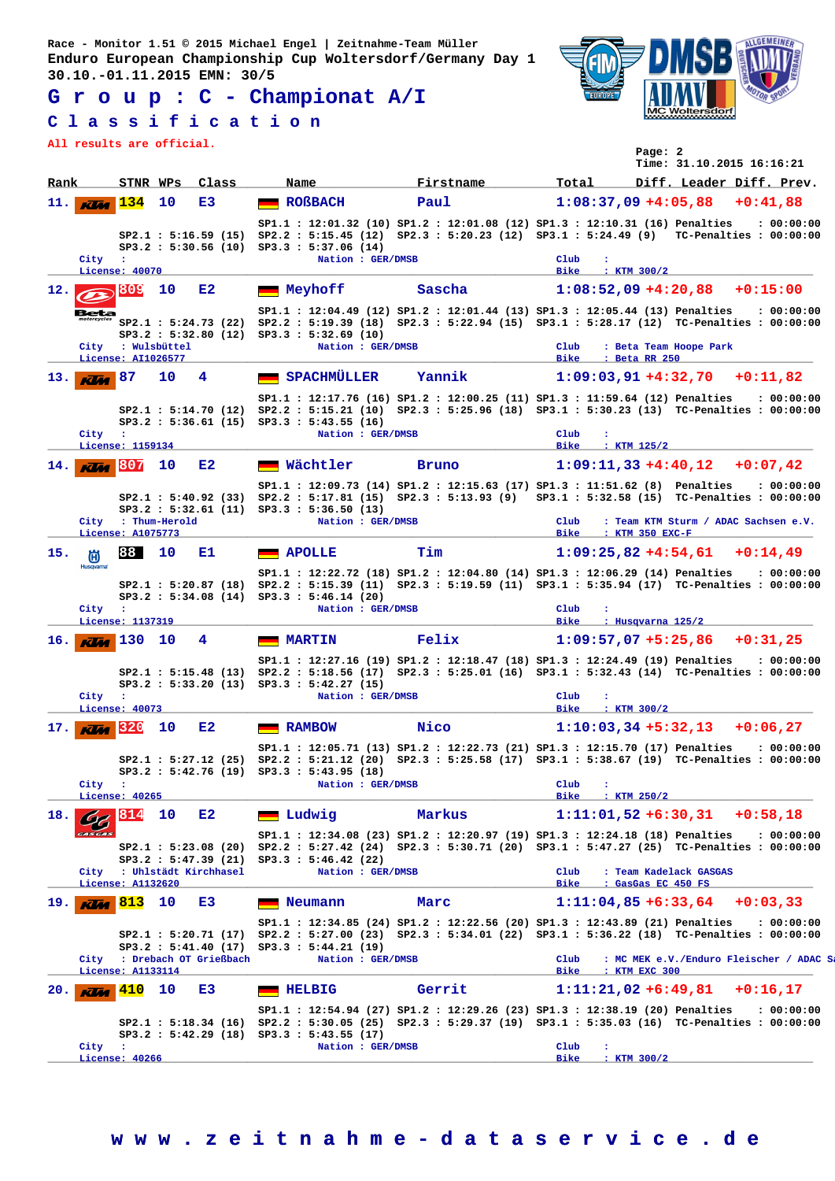**G r o u p : C - Championat A/I**

## **C l a s s i f i c a t i o n**

**All results are official.**



| All lesults are official.        |                                         |    |                                                    |                                                                               |                                                                                                                                                                                               |                                                          | Page: 2       | Time: 31.10.2015 16:16:21 |                                                        |
|----------------------------------|-----------------------------------------|----|----------------------------------------------------|-------------------------------------------------------------------------------|-----------------------------------------------------------------------------------------------------------------------------------------------------------------------------------------------|----------------------------------------------------------|---------------|---------------------------|--------------------------------------------------------|
| Rank                             | STNR WPs                                |    | Class                                              | Name                                                                          | Firstname                                                                                                                                                                                     | Total                                                    |               |                           | Diff. Leader Diff. Prev.                               |
| 11.  <br><b>KVM</b>              | 134                                     | 10 | E3                                                 | <b>ROßBACH</b>                                                                | Paul                                                                                                                                                                                          | $1:08:37,09+4:05,88$ +0:41,88                            |               |                           |                                                        |
|                                  | City :<br>License: 40070                |    |                                                    | SP3.2 : 5:30.56 (10) SP3.3 : 5:37.06 (14)<br>Nation : GER/DMSB                | SP1.1: 12:01.32 (10) SP1.2: 12:01.08 (12) SP1.3: 12:10.31 (16) Penalties<br>SP2.1: 5:16.59 (15) SP2.2: 5:15.45 (12) SP2.3: 5:20.23 (12) SP3.1: 5:24.49 (9) TC-Penalties: 00:00:00             | Club<br>÷<br>Bike                                        | $:$ KTM 300/2 |                           | : 00:00:00                                             |
| 12.77                            | <b>1809</b>                             | 10 | E2                                                 | Meyhoff                                                                       | Sascha                                                                                                                                                                                        | $1:08:52,09+4:20,88$                                     |               |                           | $+0:15:00$                                             |
| Beta<br>motorcycles              | City : Wulsbüttel<br>License: AI1026577 |    |                                                    | SP3.2 : 5:32.80 (12) SP3.3 : 5:32.69 (10)<br>Nation : GER/DMSB                | SP1.1: 12:04.49 (12) SP1.2: 12:01.44 (13) SP1.3: 12:05.44 (13) Penalties : 00:00:00<br>SP2.1: 5:24.73 (22) SP2.2: 5:19.39 (18) SP2.3: 5:22.94 (15) SP3.1: 5:28.17 (12) TC-Penalties: 00:00:00 | $_{\rm Club}$<br>Bike<br>: Beta RR 250                   |               | : Beta Team Hoope Park    |                                                        |
| $13.$ $\overline{\text{K/m}}$ 87 |                                         | 10 | 4                                                  | SPACHMÜLLER                                                                   | Yannik                                                                                                                                                                                        | $1:09:03,91+4:32,70$ +0:11,82                            |               |                           |                                                        |
|                                  | City :                                  |    |                                                    | $SP3.2 : 5:36.61 (15) SP3.3 : 5:43.55 (16)$<br>Nation : GER/DMSB              | SP1.1: 12:17.76 (16) SP1.2: 12:00.25 (11) SP1.3: 11:59.64 (12) Penalties<br>SP2.1: 5:14.70 (12) SP2.2: 5:15.21 (10) SP2.3: 5:25.96 (18) SP3.1: 5:30.23 (13) TC-Penalties: 00:00:00            | Club<br>$\ddot{\phantom{a}}$                             |               |                           | : 00:00:00                                             |
| 14.1<br><b>KVM</b>               | License: 1159134<br>1807                | 10 | E2                                                 | <b>Wächtler</b>                                                               | <b>Bruno</b>                                                                                                                                                                                  | Bike<br>$:$ KTM $125/2$<br>$1:09:11,33+4:40,12$ +0:07,42 |               |                           |                                                        |
|                                  | City : Thum-Herold                      |    |                                                    | SP3.2: 5:32.61 (11) SP3.3: 5:36.50 (13)<br>Nation : GER/DMSB                  | SP1.1: 12:09.73 (14) SP1.2: 12:15.63 (17) SP1.3: 11:51.62 (8) Penalties<br>SP2.1: 5:40.92 (33) SP2.2: 5:17.81 (15) SP2.3: 5:13.93 (9) SP3.1: 5:32.58 (15) TC-Penalties: 00:00:00              | $_{\rm Club}$                                            |               |                           | : 00:00:00<br>: Team KTM Sturm / ADAC Sachsen e.V.     |
|                                  | License: A1075773<br>88                 | 10 |                                                    |                                                                               | Tim                                                                                                                                                                                           | Bike : KTM 350 EXC-F<br>$1:09:25.82 + 4:54.61 + 0:14.49$ |               |                           |                                                        |
| 15.<br>偤<br><b>Husqvarna</b>     | City :<br>License: 1137319              |    | Е1.                                                | <b>APOLLE</b><br>SP3.2: 5:34.08 (14) SP3.3: 5:46.14 (20)<br>Nation : GER/DMSB | SP1.1: 12:22.72 (18) SP1.2: 12:04.80 (14) SP1.3: 12:06.29 (14) Penalties<br>SP2.1: 5:20.87 (18) SP2.2: 5:15.39 (11) SP2.3: 5:19.59 (11) SP3.1: 5:35.94 (17) TC-Penalties: 00:00:00            | Club<br><b>Bike</b>                                      |               | : Husqvarna 125/2         | : 00:00:00                                             |
| 16.1<br><b>Kilde</b>             | 130 10                                  |    | 4                                                  | <b>MARTIN</b>                                                                 | Felix                                                                                                                                                                                         | $1:09:57,07+5:25,86$ +0:31,25                            |               |                           |                                                        |
|                                  | City :<br>License: 40073                |    |                                                    | $SP3.2 : 5:33.20 (13) SP3.3 : 5:42.27 (15)$<br>Nation : GER/DMSB              | SP1.1: 12:27.16 (19) SP1.2: 12:18.47 (18) SP1.3: 12:24.49 (19) Penalties<br>SP2.1: 5:15.48 (13) SP2.2: 5:18.56 (17) SP2.3: 5:25.01 (16) SP3.1: 5:32.43 (14) TC-Penalties: 00:00:00            | Club<br>$\ddot{\phantom{a}}$<br>Bike<br>$:$ KTM $300/2$  |               |                           | : 00:00:00                                             |
| 17.1                             | 320                                     | 10 | E2                                                 | <b>RAMBOW</b>                                                                 | Nico                                                                                                                                                                                          | $1:10:03,34+5:32,13$                                     |               |                           | $+0:06,27$                                             |
|                                  | City :<br>License: 40265                |    |                                                    | SP3.2 : 5:42.76 (19) SP3.3 : 5:43.95 (18)<br>Nation : GER/DMSB                | SP1.1: 12:05.71 (13) SP1.2: 12:22.73 (21) SP1.3: 12:15.70 (17) Penalties : 00:00:00<br>SP2.1: 5:27.12 (25) SP2.2: 5:21.12 (20) SP2.3: 5:25.58 (17) SP3.1: 5:38.67 (19) TC-Penalties: 00:00:00 | Club<br>$\ddot{\phantom{a}}$<br><b>Bike</b>              | : $KTM 250/2$ |                           |                                                        |
| 18.                              | 814                                     | 10 | E2                                                 | Ludwig                                                                        | Markus                                                                                                                                                                                        | $1:11:01,52 + 6:30,31 + 0:58,18$                         |               |                           |                                                        |
| <b>CASCAS</b>                    | License: A1132620                       |    | SP3.2 : 5:47.39 (21)<br>City : Uhlstädt Kirchhasel | SP3.3 : 5:46.42 (22)<br>Nation : GER/DMSB                                     | SP1.1: 12:34.08 (23) SP1.2: 12:20.97 (19) SP1.3: 12:24.18 (18) Penalties<br>SP2.1: 5:23.08 (20) SP2.2: 5:27.42 (24) SP2.3: 5:30.71 (20) SP3.1: 5:47.27 (25) TC-Penalties: 00:00:00            | Club<br>Bike<br>: GasGas EC 450 FS                       |               | : Team Kadelack GASGAS    | : 00:00:00                                             |
| $19.$ KVM                        | 813                                     | 10 | E3                                                 | Neumann                                                                       | Marc                                                                                                                                                                                          | $1:11:04,85 + 6:33,64$                                   |               |                           | $+0:03.33$                                             |
|                                  | License: A1133114                       |    | City : Drebach OT Grießbach                        | $SP3.2 : 5:41.40 (17) SP3.3 : 5:44.21 (19)$<br>Nation : GER/DMSB              | SP1.1: 12:34.85 (24) SP1.2: 12:22.56 (20) SP1.3: 12:43.89 (21) Penalties<br>SP2.1: 5:20.71 (17) SP2.2: 5:27.00 (23) SP2.3: 5:34.01 (22) SP3.1: 5:36.22 (18) TC-Penalties: 00:00:00            | $_{\rm Club}$<br>Bike                                    | : KTM EXC 300 |                           | : 00:00:00<br>: MC MEK e.V./Enduro Fleischer / ADAC Sa |
| 20.<br><b>Klia</b>               | 410                                     | 10 | E3                                                 | <b>HELBIG</b>                                                                 | Gerrit                                                                                                                                                                                        | $1:11:21,02 + 6:49,81$                                   |               |                           | $+0:16,17$                                             |
|                                  | City :                                  |    |                                                    | SP3.2 : 5:42.29 (18) SP3.3 : 5:43.55 (17)<br>Nation : GER/DMSB                | SP1.1: 12:54.94 (27) SP1.2: 12:29.26 (23) SP1.3: 12:38.19 (20) Penalties<br>SP2.1: 5:18.34 (16) SP2.2: 5:30.05 (25) SP2.3: 5:29.37 (19) SP3.1: 5:35.03 (16) TC-Penalties: 00:00:00            | Club<br>÷                                                |               |                           | : 00:00:00                                             |
|                                  | License: 40266                          |    |                                                    |                                                                               |                                                                                                                                                                                               | Bike                                                     | $:$ KTM 300/2 |                           |                                                        |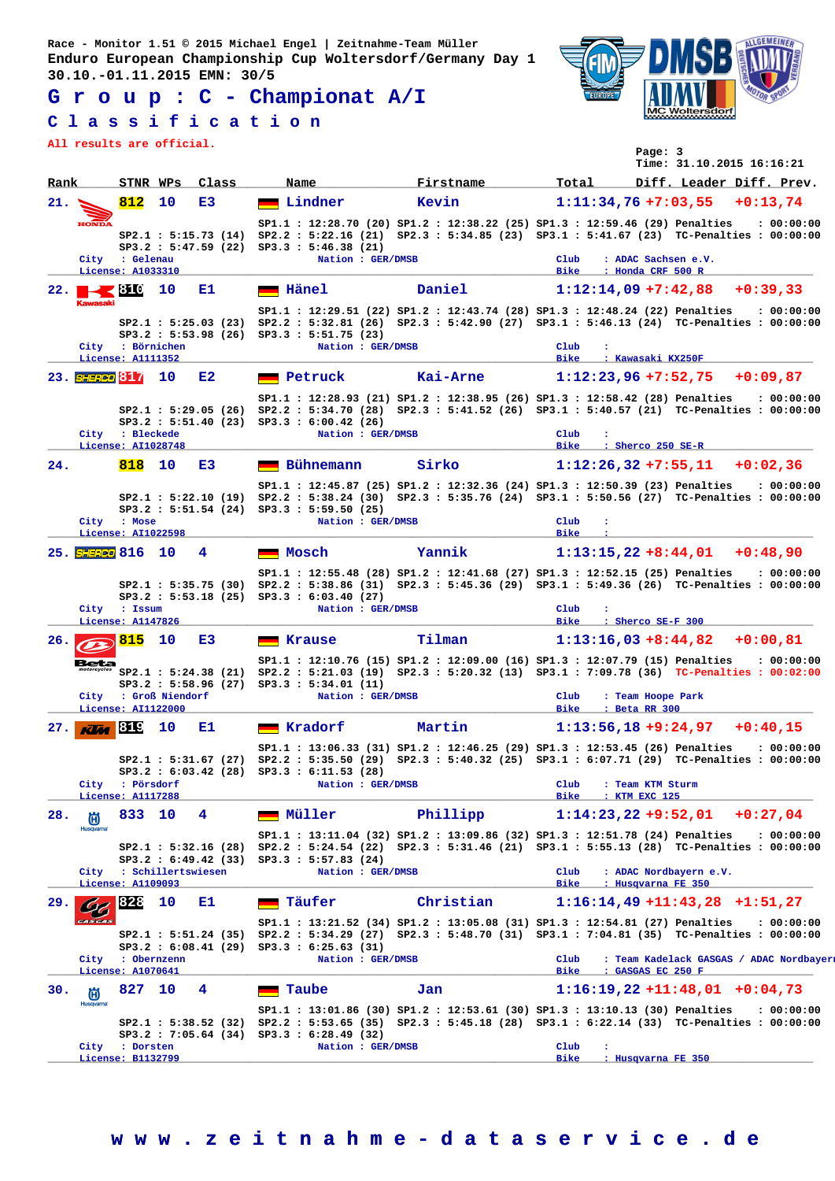**G r o u p : C - Championat A/I**

## **C l a s s i f i c a t i o n**

**All results are official.**



| All lesults ale Ollicial. |                                              |    |                                              |                                                                  |                                                                                                                                                                                               |                                                                         | Page: 3                            | Time: 31.10.2015 16:16:21                    |                                                        |
|---------------------------|----------------------------------------------|----|----------------------------------------------|------------------------------------------------------------------|-----------------------------------------------------------------------------------------------------------------------------------------------------------------------------------------------|-------------------------------------------------------------------------|------------------------------------|----------------------------------------------|--------------------------------------------------------|
| Rank                      | STNR WPs                                     |    | Class                                        | Name                                                             | Firstname                                                                                                                                                                                     | Total                                                                   |                                    | Diff. Leader Diff. Prev.                     |                                                        |
| 21.                       | 812                                          | 10 | E3                                           | Lindner                                                          | Kevin                                                                                                                                                                                         |                                                                         |                                    | $1:11:34,76+7:03,55+0:13,74$                 |                                                        |
| <b>HONDA</b>              | City : Gelenau<br>License: A1033310          |    |                                              | $SP3.2 : 5:47.59 (22) SP3.3 : 5:46.38 (21)$<br>Nation : GER/DMSB | SP1.1 : 12:28.70 (20) SP1.2 : 12:38.22 (25) SP1.3 : 12:59.46 (29) Penalties<br>SP2.1: 5:15.73 (14) SP2.2: 5:22.16 (21) SP2.3: 5:34.85 (23) SP3.1: 5:41.67 (23) TC-Penalties: 00:00:00         | Club<br>Bike<br>: Honda CRF 500 R                                       |                                    | : ADAC Sachsen e.V.                          | : 00:00:00                                             |
| 22. $\blacksquare$ 310    |                                              | 10 | Е1.                                          | $\blacksquare$ Hänel                                             | Daniel                                                                                                                                                                                        | $1:12:14,09 +7:42,88$                                                   |                                    |                                              | $+0:39.33$                                             |
| <b>Kawasaki</b>           | City : Börnichen<br>License: A1111352        |    | SP2.1 : 5:25.03(23)                          | SP3.2 : 5:53.98 (26) SP3.3 : 5:51.75 (23)<br>Nation : GER/DMSB   | SP1.1 : 12:29.51 (22) SP1.2 : 12:43.74 (28) SP1.3 : 12:48.24 (22) Penalties<br>SP2.2: 5:32.81 (26) SP2.3: 5:42.90 (27) SP3.1: 5:46.13 (24) TC-Penalties: 00:00:00                             | $_{\text{Club}}$<br><b>Bike</b><br>: Kawasaki KX250F                    |                                    |                                              | : 00:00:00                                             |
| 23. SHERCO 817            |                                              | 10 | E2                                           | <b>Exercise Petruck</b>                                          | Kai-Arne                                                                                                                                                                                      | $1:12:23,96 +7:52,75 +0:09,87$                                          |                                    |                                              |                                                        |
|                           | City : Bleckede<br>License: AI1028748        |    | SP3.2 : 5:51.40 (23)                         | SP3.3 : 6:00.42 (26)<br>Nation : GER/DMSB                        | SP1.1: 12:28.93 (21) SP1.2: 12:38.95 (26) SP1.3: 12:58.42 (28) Penalties<br>SP2.1: 5:29.05 (26) SP2.2: 5:34.70 (28) SP2.3: 5:41.52 (26) SP3.1: 5:40.57 (21) TC-Penalties: 00:00:00            | Club<br>÷<br>Bike : Sherco 250 SE-R                                     |                                    |                                              | : 00:00:00                                             |
| 24.                       | 818                                          | 10 | E3                                           | Bühnemann                                                        | Sirko                                                                                                                                                                                         |                                                                         |                                    | $1:12:26,32+7:55,11+0:02,36$                 |                                                        |
|                           | City : Mose                                  |    | SP2.1 : 5:22.10 (19)<br>SP3.2 : 5:51.54 (24) | SP3.3 : 5:59.50 (25)<br>Nation : GER/DMSB                        | SP1.1: 12:45.87 (25) SP1.2: 12:32.36 (24) SP1.3: 12:50.39 (23) Penalties<br>SP2.2: 5:38.24 (30) SP2.3: 5:35.76 (24) SP3.1: 5:50.56 (27) TC-Penalties: 00:00:00                                | $_{\text{Club}}$<br>$\ddot{\phantom{a}}$<br><b>Bike</b><br>$\mathbf{r}$ |                                    |                                              | : 00:00:00                                             |
| 25. SHERED 816 10         | License: AI1022598                           |    | 4                                            | Mosch                                                            | Yannik                                                                                                                                                                                        |                                                                         |                                    | $1:13:15,22+8:44,01$ +0:48,90                |                                                        |
|                           | City : Issum<br>License: A1147826            |    |                                              | SP3.2 : 5:53.18 (25) SP3.3 : 6:03.40 (27)<br>Nation : GER/DMSB   | SP1.1: 12:55.48 (28) SP1.2: 12:41.68 (27) SP1.3: 12:52.15 (25) Penalties<br>SP2.1: 5:35.75 (30) SP2.2: 5:38.86 (31) SP2.3: 5:45.36 (29) SP3.1: 5:49.36 (26) TC-Penalties: 00:00:00            | Club<br>Bike : Sherco SE-F 300                                          |                                    |                                              | : 00:00:00                                             |
| 26.                       | 815                                          | 10 | E3                                           | <b>Krause</b>                                                    | Tilman                                                                                                                                                                                        |                                                                         |                                    | $1:13:16,03+8:44,82$ +0:00,81                |                                                        |
| Beta                      | City : Groß Niendorf<br>License: AI1122000   |    |                                              | SP3.2 : 5:58.96 (27) SP3.3 : 5:34.01 (11)<br>Nation : GER/DMSB   | SP1.1: 12:10.76 (15) SP1.2: 12:09.00 (16) SP1.3: 12:07.79 (15) Penalties<br>SP2.1: 5:24.38 (21) SP2.2: 5:21.03 (19) SP2.3: 5:20.32 (13) SP3.1: 7:09.78 (36) TC-Penalties: 00:02:00            | Club<br>Bike                                                            | : Team Hoope Park<br>: Beta RR 300 |                                              | : 00:00:00                                             |
| 27.<br>Klaa               | <b>819</b>                                   | 10 | Е1.                                          | $\blacksquare$ Kradorf                                           | Martin                                                                                                                                                                                        | $1:13:56,18+9:24,97$                                                    |                                    |                                              | $+0:40.15$                                             |
|                           | City : Pörsdorf<br>License: A1117288         |    |                                              | SP3.2 : 6:03.42 (28) SP3.3 : 6:11.53 (28)<br>Nation : GER/DMSB   | SP1.1: 13:06.33 (31) SP1.2: 12:46.25 (29) SP1.3: 12:53.45 (26) Penalties : 00:00:00<br>SP2.1: 5:31.67 (27) SP2.2: 5:35.50 (29) SP2.3: 5:40.32 (25) SP3.1: 6:07.71 (29) TC-Penalties: 00:00:00 | Club<br><b>Bike</b>                                                     | : Team KTM Sturm<br>: KTM EXC 125  |                                              |                                                        |
| 28.<br>尚                  | 833 10                                       |    | 4                                            | Müller                                                           | Phillipp                                                                                                                                                                                      | $1:14:23,22+9:52,01$                                                    |                                    |                                              | $+0:27.04$                                             |
| <b>Husqvarna</b>          | City : Schillertswiesen<br>License: A1109093 |    | SP2.1 : 5:32.16 (28)<br>SP3.2 : 6:49.42 (33) | SP3.3 : 5:57.83 (24)<br>Nation : GER/DMSB                        | SP1.1: 13:11.04 (32) SP1.2: 13:09.86 (32) SP1.3: 12:51.78 (24) Penalties<br>SP2.2: 5:24.54 (22) SP2.3: 5:31.46 (21) SP3.1: 5:55.13 (28) TC-Penalties: 00:00:00                                | Club<br>Bike                                                            |                                    | : ADAC Nordbayern e.V.<br>: Husqvarna FE 350 | : 00:00:00                                             |
| 29.                       | 828                                          | 10 | Е1                                           | <b>Executer</b> Täufer                                           | Christian                                                                                                                                                                                     |                                                                         |                                    | $1:16:14,49$ +11:43,28 +1:51,27              |                                                        |
|                           | City : Obernzenn<br>License: A1070641        |    | SP2.1 : 5:51.24 (35)                         | $SP3.2 : 6:08.41 (29) SP3.3 : 6:25.63 (31)$<br>Nation : GER/DMSB | SP1.1: 13:21.52 (34) SP1.2: 13:05.08 (31) SP1.3: 12:54.81 (27) Penalties<br>SP2.2: 5:34.29 (27) SP2.3: 5:48.70 (31) SP3.1: 7:04.81 (35) TC-Penalties: 00:00:00                                | Club<br><b>Bike</b>                                                     | : GASGAS EC 250 F                  |                                              | : 00:00:00<br>: Team Kadelack GASGAS / ADAC Nordbayers |
| 30.<br>尚                  | 827                                          | 10 | 4                                            | Taube                                                            | Jan                                                                                                                                                                                           |                                                                         |                                    | $1:16:19,22$ +11:48,01 +0:04,73              |                                                        |
| Husqvarna                 | City : Dorsten                               |    | SP2.1 : 5:38.52 (32)                         | SP3.2: 7:05.64 (34) SP3.3: 6:28.49 (32)<br>Nation : GER/DMSB     | SP1.1: 13:01.86 (30) SP1.2: 12:53.61 (30) SP1.3: 13:10.13 (30) Penalties<br>SP2.2: 5:53.65 (35) SP2.3: 5:45.18 (28) SP3.1: 6:22.14 (33) TC-Penalties: 00:00:00                                | Club<br>$\cdot$                                                         |                                    |                                              | : 00:00:00                                             |
|                           | License: B1132799                            |    |                                              |                                                                  |                                                                                                                                                                                               | Bike                                                                    |                                    | : Husqvarna FE 350                           |                                                        |